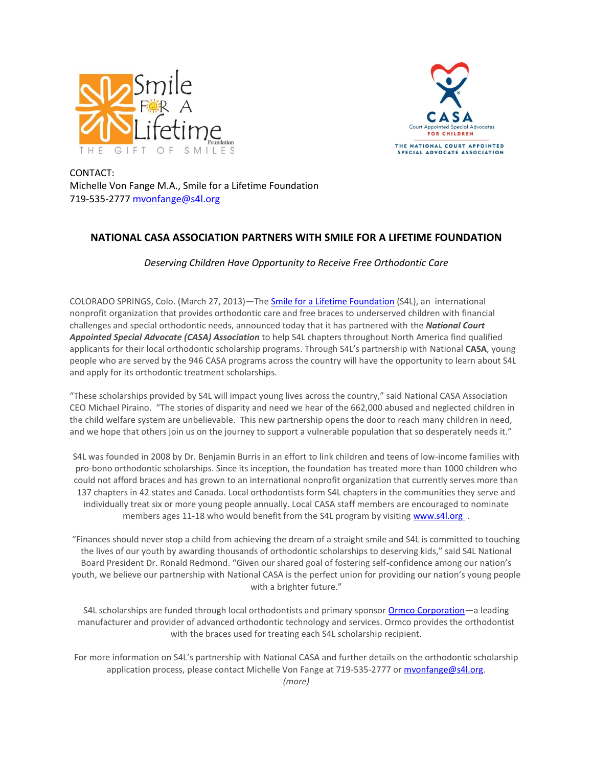



CONTACT: Michelle Von Fange M.A., Smile for a Lifetime Foundation 719-535-2777 mvonfange@s4l.org

## **NATIONAL CASA ASSOCIATION PARTNERS WITH SMILE FOR A LIFETIME FOUNDATION**

## *Deserving Children Have Opportunity to Receive Free Orthodontic Care*

COLORADO SPRINGS, Colo. (March 27, 2013)—The [Smile for a Lifetime](http://www.s4l.org/Home/tabid/55/Default.aspx) Foundation (S4L), an international nonprofit organization that provides orthodontic care and free braces to underserved children with financial challenges and special orthodontic needs, announced today that it has partnered with the *National Court Appointed Special Advocate (CASA) Association* to help S4L chapters throughout North America find qualified applicants for their local orthodontic scholarship programs. Through S4L's partnership with National **CASA**, young people who are served by the 946 CASA programs across the country will have the opportunity to learn about S4L and apply for its orthodontic treatment scholarships.

"These scholarships provided by S4L will impact young lives across the country," said National CASA Association CEO Michael Piraino. "The stories of disparity and need we hear of the 662,000 abused and neglected children in the child welfare system are unbelievable. This new partnership opens the door to reach many children in need, and we hope that others join us on the journey to support a vulnerable population that so desperately needs it."

S4L was founded in 2008 by Dr. Benjamin Burris in an effort to link children and teens of low-income families with pro-bono orthodontic scholarships. Since its inception, the foundation has treated more than 1000 children who could not afford braces and has grown to an international nonprofit organization that currently serves more than 137 chapters in 42 states and Canada. Local orthodontists form S4L chapters in the communities they serve and individually treat six or more young people annually. Local CASA staff members are encouraged to nominate members ages 11-18 who would benefit from the S4L program by visiting [www.s4l.org](http://www.s4l.org/S4LPartnerswithBGCA/tabid/236/Default.aspx) .

"Finances should never stop a child from achieving the dream of a straight smile and S4L is committed to touching the lives of our youth by awarding thousands of orthodontic scholarships to deserving kids," said S4L National Board President Dr. Ronald Redmond. "Given our shared goal of fostering self-confidence among our nation's youth, we believe our partnership with National CASA is the perfect union for providing our nation's young people with a brighter future."

S4L scholarships are funded through local orthodontists and primary sponsor [Ormco Corporation](http://www.ormco.com/index/ormco)—a leading manufacturer and provider of advanced orthodontic technology and services. Ormco provides the orthodontist with the braces used for treating each S4L scholarship recipient.

For more information on S4L's partnership with National CASA and further details on the orthodontic scholarship application process, please contact Michelle Von Fange at 719-535-2777 or [mvonfange@s4l.org.](mailto:mvonfange@s4l.org) *(more)*